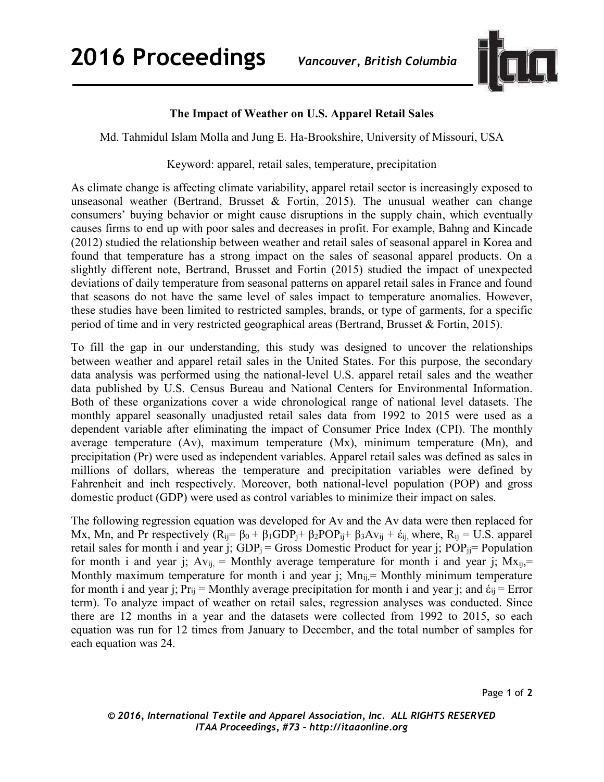

## **The Impact of Weather on U.S. Apparel Retail Sales**

Md. Tahmidul Islam Molla and Jung E. Ha-Brookshire, University of Missouri, USA

## Keyword: apparel, retail sales, temperature, precipitation

As climate change is affecting climate variability, apparel retail sector is increasingly exposed to unseasonal weather (Bertrand, Brusset & Fortin, 2015). The unusual weather can change consumers' buying behavior or might cause disruptions in the supply chain, which eventually causes firms to end up with poor sales and decreases in profit. For example, Bahng and Kincade (2012) studied the relationship between weather and retail sales of seasonal apparel in Korea and found that temperature has a strong impact on the sales of seasonal apparel products. On a slightly different note, Bertrand, Brusset and Fortin (2015) studied the impact of unexpected deviations of daily temperature from seasonal patterns on apparel retail sales in France and found that seasons do not have the same level of sales impact to temperature anomalies. However, these studies have been limited to restricted samples, brands, or type of garments, for a specific period of time and in very restricted geographical areas (Bertrand, Brusset & Fortin, 2015).

To fill the gap in our understanding, this study was designed to uncover the relationships between weather and apparel retail sales in the United States. For this purpose, the secondary data analysis was performed using the national-level U.S. apparel retail sales and the weather data published by U.S. Census Bureau and National Centers for Environmental Information. Both of these organizations cover a wide chronological range of national level datasets. The monthly apparel seasonally unadjusted retail sales data from 1992 to 2015 were used as a dependent variable after eliminating the impact of Consumer Price Index (CPI). The monthly average temperature (Av), maximum temperature (Mx), minimum temperature (Mn), and precipitation (Pr) were used as independent variables. Apparel retail sales was defined as sales in millions of dollars, whereas the temperature and precipitation variables were defined by Fahrenheit and inch respectively. Moreover, both national-level population (POP) and gross domestic product (GDP) were used as control variables to minimize their impact on sales.

The following regression equation was developed for Av and the Av data were then replaced for Mx, Mn, and Pr respectively  $(R_{ij} = \beta_0 + \beta_1 GDP_i + \beta_2 POP_{ij} + \beta_3 Av_{ij} + \dot{\epsilon}_{ij}$ , where,  $R_{ij} = U.S.$  apparel retail sales for month i and year j;  $GDP_j = Gross$  Domestic Product for year j;  $POP_{jj} = Population$ for month i and year j;  $Av_{ij} =$  Monthly average temperature for month i and year j;  $Mx_{ij} =$ Monthly maximum temperature for month i and year j;  $Mn_{ii}$  = Monthly minimum temperature for month i and year j;  $Pr_{ii}$  = Monthly average precipitation for month i and year j; and  $\dot{\epsilon}_{ii}$  = Error term). To analyze impact of weather on retail sales, regression analyses was conducted. Since there are 12 months in a year and the datasets were collected from 1992 to 2015, so each equation was run for 12 times from January to December, and the total number of samples for each equation was 24.

Page **1** of **2**